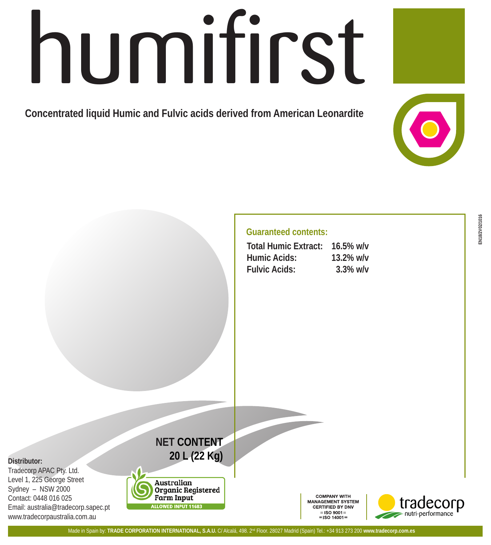# humifirst

**Concentrated liquid Humic and Fulvic acids derived from American Leonardite**

# **Guaranteed contents:**

| <b>Total Humic Extract:</b> | $16.5\%$ w/v |
|-----------------------------|--------------|
| Humic Acids:                | $13.2\%$ w/v |
| <b>Fulvic Acids:</b>        | $3.3\%$ w/v  |

## **Distributor:**

Tradecorp APAC Pty. Ltd. Level 1, 225 George Street Sydney – NSW 2000 Contact: 0448 016 025 Email: australia@tradecorp.sapec.pt www.tradecorpaustralia.com.au



**NET CONTENT 20 L (22 Kg)**

> **COMPANY WITH** MANAGEMENT SYSTEM **CERTIFIED BY DNV**  $=$ ISO 9001 $=$  $=$  ISO 14001 =